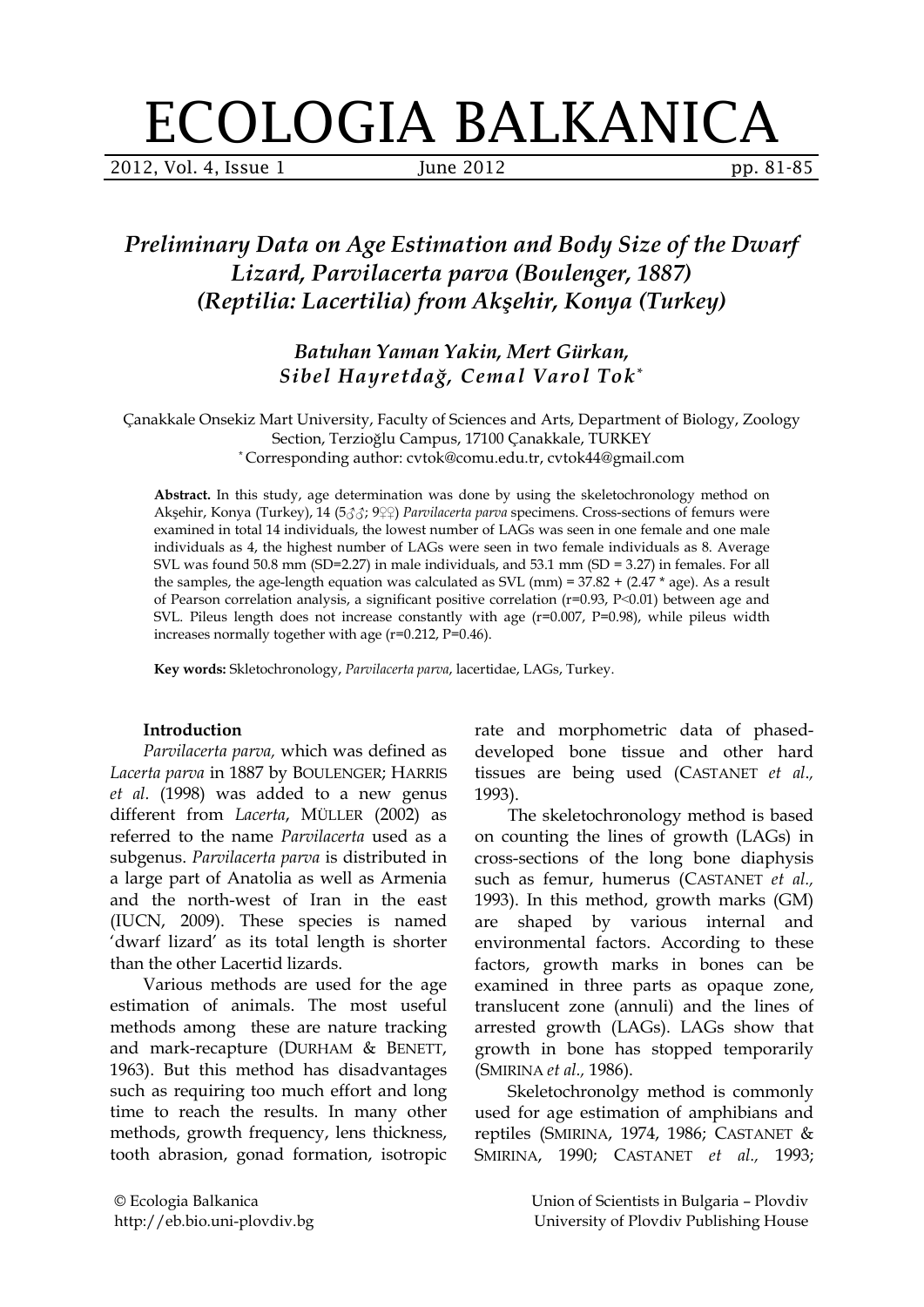# ECOLOGIA BALKANICA

2012, Vol. 4, Issue 1 June 2012 pp. 81-85

# *Preliminary Data on Age Estimation and Body Size of the Dwarf Lizard, Parvilacerta parva (Boulenger, 1887) (Reptilia: Lacertilia) from Akşehir, Konya (Turkey)*

*Batuhan Yaman Yakin, Mert Gürkan, Sibel Hayretdağ, Cemal Varol Tok\**

Çanakkale Onsekiz Mart University, Faculty of Sciences and Arts, Department of Biology, Zoology Section, Terzioğlu Campus, 17100 Çanakkale, TURKEY \* Corresponding author: cvtok@comu.edu.tr, cvtok44@gmail.com

**Abstract.** In this study, age determination was done by using the skeletochronology method on Akşehir, Konya (Turkey), 14 (5♂♂; 9♀♀) *Parvilacerta parva* specimens. Cross-sections of femurs were examined in total 14 individuals, the lowest number of LAGs was seen in one female and one male individuals as 4, the highest number of LAGs were seen in two female individuals as 8. Average SVL was found 50.8 mm (SD=2.27) in male individuals, and 53.1 mm (SD = 3.27) in females. For all the samples, the age-length equation was calculated as SVL (mm) =  $37.82 + (2.47 * age)$ . As a result of Pearson correlation analysis, a significant positive correlation (r=0.93, P˂0.01) between age and SVL. Pileus length does not increase constantly with age  $(r=0.007, P=0.98)$ , while pileus width increases normally together with age (r=0.212, P=0.46).

**Key words:** Skletochronology, *Parvilacerta parva*, lacertidae, LAGs, Turkey.

#### **Introduction**

*Parvilacerta parva,* which was defined as *Lacerta parva* in 1887 by BOULENGER; HARRIS *et al.* (1998) was added to a new genus different from *Lacerta*, MÜLLER (2002) as referred to the name *Parvilacerta* used as a subgenus. *Parvilacerta parva* is distributed in a large part of Anatolia as well as Armenia and the north-west of Iran in the east (IUCN, 2009). These species is named 'dwarf lizard' as its total length is shorter than the other Lacertid lizards.

Various methods are used for the age estimation of animals. The most useful methods among these are nature tracking and mark-recapture (DURHAM & BENETT, 1963). But this method has disadvantages such as requiring too much effort and long time to reach the results. In many other methods, growth frequency, lens thickness, tooth abrasion, gonad formation, isotropic

rate and morphometric data of phaseddeveloped bone tissue and other hard tissues are being used (CASTANET *et al*.*,* 1993).

The skeletochronology method is based on counting the lines of growth (LAGs) in cross-sections of the long bone diaphysis such as femur, humerus (CASTANET *et al.,* 1993). In this method, growth marks (GM) are shaped by various internal and environmental factors. According to these factors, growth marks in bones can be examined in three parts as opaque zone, translucent zone (annuli) and the lines of arrested growth (LAGs). LAGs show that growth in bone has stopped temporarily (SMIRINA *et al.,* 1986).

Skeletochronolgy method is commonly used for age estimation of amphibians and reptiles (SMIRINA, 1974, 1986; CASTANET & SMIRINA, 1990; CASTANET *et al.,* 1993;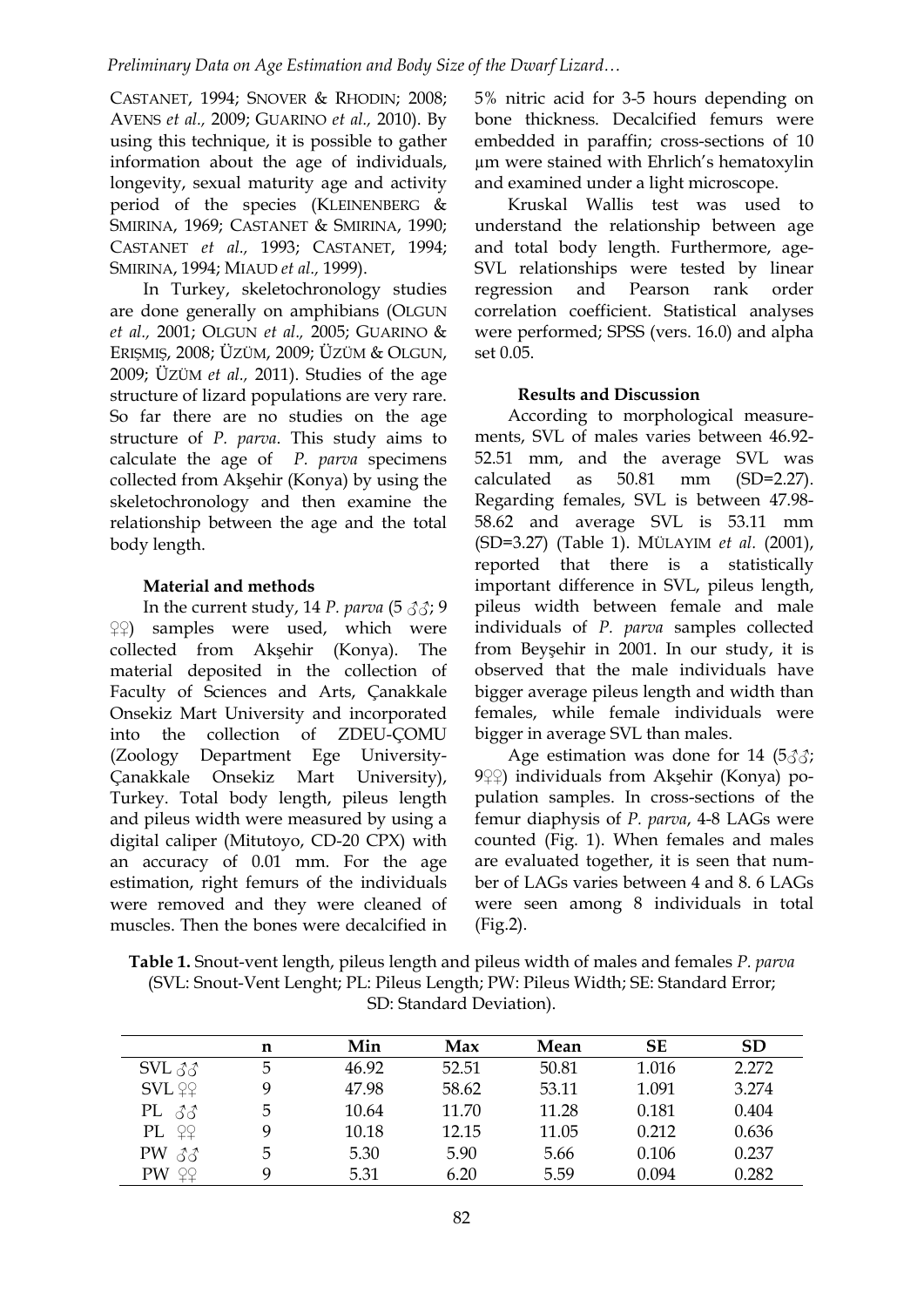CASTANET, 1994; SNOVER & RHODIN; 2008; AVENS *et al.,* 2009; GUARINO *et al.,* 2010). By using this technique, it is possible to gather information about the age of individuals, longevity, sexual maturity age and activity period of the species (KLEINENBERG & SMIRINA, 1969; CASTANET & SMIRINA, 1990; CASTANET *et al.,* 1993; CASTANET, 1994; SMIRINA, 1994; MIAUD *et al.,* 1999).

In Turkey, skeletochronology studies are done generally on amphibians (OLGUN *et al.,* 2001; OLGUN *et al.,* 2005; GUARINO & ERIŞMIŞ, 2008; ÜZÜM, 2009; ÜZÜM & OLGUN, 2009; ÜZÜM *et al.,* 2011). Studies of the age structure of lizard populations are very rare. So far there are no studies on the age structure of *P. parva*. This study aims to calculate the age of *P. parva* specimens collected from Akşehir (Konya) by using the skeletochronology and then examine the relationship between the age and the total body length.

## **Material and methods**

In the current study, 14 *P. parva* (5 ♂♂; 9 ♀♀) samples were used, which were collected from Akşehir (Konya). The material deposited in the collection of Faculty of Sciences and Arts, Çanakkale Onsekiz Mart University and incorporated into the collection of ZDEU-ÇOMU (Zoology Department Ege University-Çanakkale Onsekiz Mart University), Turkey. Total body length, pileus length and pileus width were measured by using a digital caliper (Mitutoyo, CD-20 CPX) with an accuracy of 0.01 mm. For the age estimation, right femurs of the individuals were removed and they were cleaned of muscles. Then the bones were decalcified in 5% nitric acid for 3-5 hours depending on bone thickness. Decalcified femurs were embedded in paraffin; cross-sections of 10 µm were stained with Ehrlich's hematoxylin and examined under a light microscope.

Kruskal Wallis test was used to understand the relationship between age and total body length. Furthermore, age-SVL relationships were tested by linear regression and Pearson rank order correlation coefficient. Statistical analyses were performed; SPSS (vers. 16.0) and alpha set 0.05.

## **Results and Discussion**

According to morphological measurements, SVL of males varies between 46.92- 52.51 mm, and the average SVL was calculated as 50.81 mm (SD=2.27). Regarding females, SVL is between 47.98- 58.62 and average SVL is 53.11 mm (SD=3.27) (Table 1). MÜLAYIM *et al.* (2001), reported that there is a statistically important difference in SVL, pileus length, pileus width between female and male individuals of *P. parva* samples collected from Beyşehir in 2001. In our study, it is observed that the male individuals have bigger average pileus length and width than females, while female individuals were bigger in average SVL than males.

Age estimation was done for 14  $(533)$ ; 9♀♀) individuals from Akşehir (Konya) population samples. In cross-sections of the femur diaphysis of *P. parva*, 4-8 LAGs were counted (Fig. 1). When females and males are evaluated together, it is seen that number of LAGs varies between 4 and 8. 6 LAGs were seen among 8 individuals in total (Fig.2).

**Table 1.** Snout-vent length, pileus length and pileus width of males and females *P. parva* (SVL: Snout-Vent Lenght; PL: Pileus Length; PW: Pileus Width; SE: Standard Error; SD: Standard Deviation).

|                                    | n | Min   | Max   | Mean  | <b>SE</b> | <b>SD</b> |
|------------------------------------|---|-------|-------|-------|-----------|-----------|
| $SVL \, \hat{\sigma} \hat{\sigma}$ | 5 | 46.92 | 52.51 | 50.81 | 1.016     | 2.272     |
| <b>SVL</b> <sub>99</sub>           | 9 | 47.98 | 58.62 | 53.11 | 1.091     | 3.274     |
| PL $\delta\delta$                  | 5 | 10.64 | 11.70 | 11.28 | 0.181     | 0.404     |
| PL <sub>99</sub>                   | 9 | 10.18 | 12.15 | 11.05 | 0.212     | 0.636     |
| $PW \,\beta\beta$                  | 5 | 5.30  | 5.90  | 5.66  | 0.106     | 0.237     |
| PW <sub>99</sub>                   | q | 5.31  | 6.20  | 5.59  | 0.094     | 0.282     |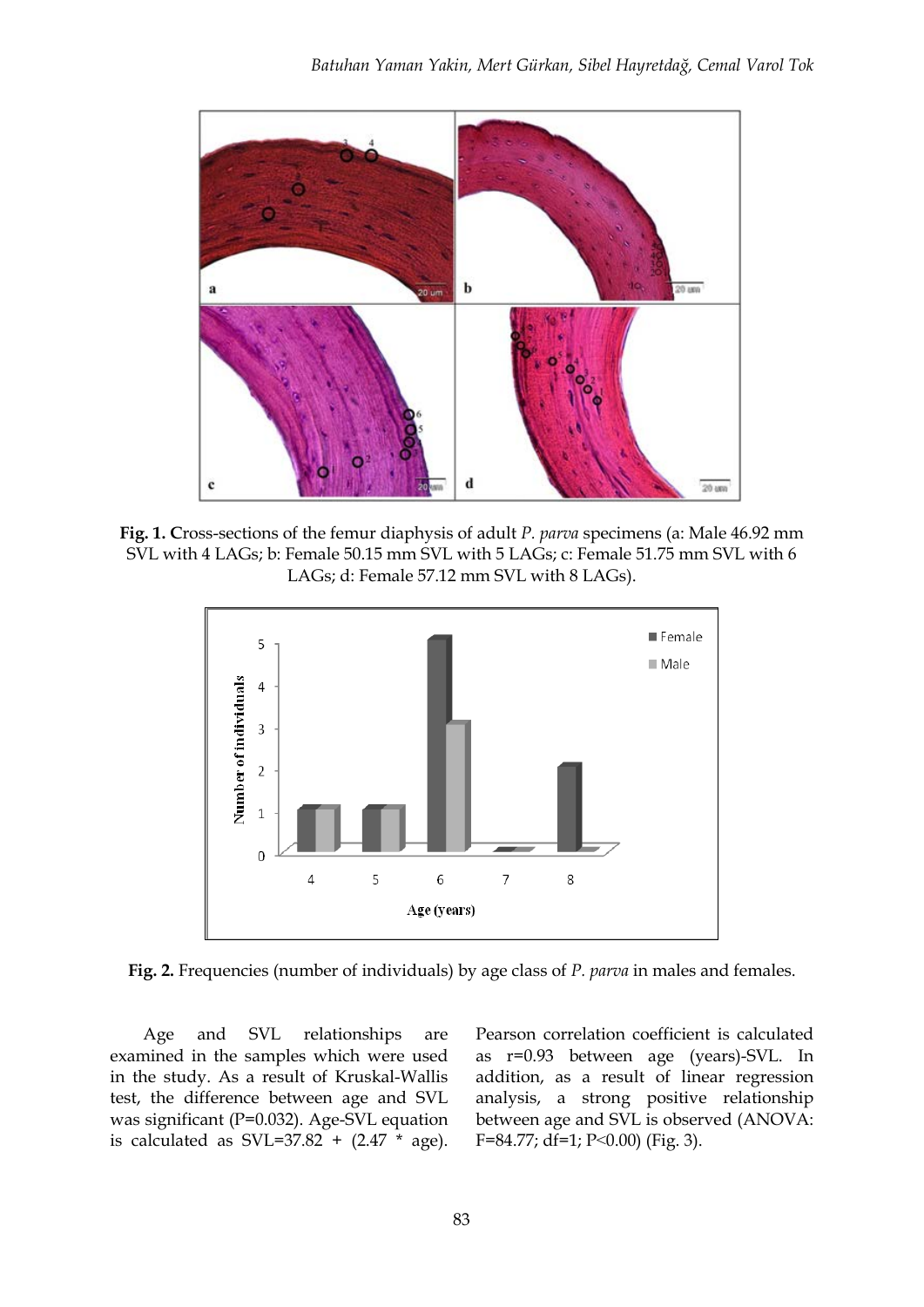

**Fig. 1. C**ross-sections of the femur diaphysis of adult *P. parva* specimens (a: Male 46.92 mm SVL with 4 LAGs; b: Female 50.15 mm SVL with 5 LAGs; c: Female 51.75 mm SVL with 6 LAGs; d: Female 57.12 mm SVL with 8 LAGs).



**Fig. 2.** Frequencies (number of individuals) by age class of *P. parva* in males and females.

Age and SVL relationships are examined in the samples which were used in the study. As a result of Kruskal-Wallis test, the difference between age and SVL was significant (P=0.032). Age-SVL equation is calculated as  $SVL=37.82 + (2.47 * age)$ . Pearson correlation coefficient is calculated as r=0.93 between age (years)-SVL. In addition, as a result of linear regression analysis, a strong positive relationship between age and SVL is observed (ANOVA: F=84.77; df=1; P˂0.00) (Fig. 3).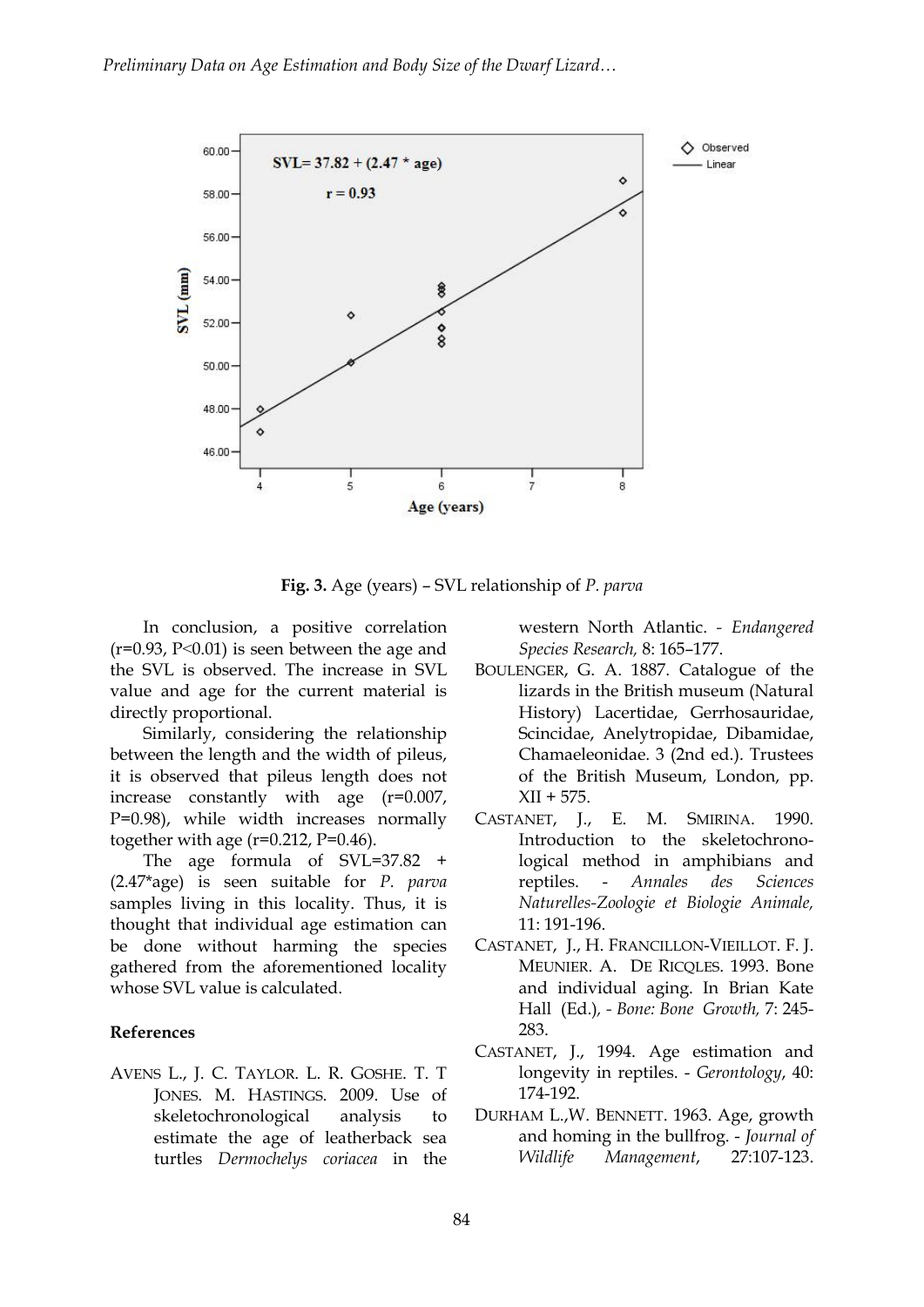

**Fig. 3.** Age (years) – SVL relationship of *P. parva*

In conclusion, a positive correlation  $(r=0.93, P<0.01)$  is seen between the age and the SVL is observed. The increase in SVL value and age for the current material is directly proportional.

Similarly, considering the relationship between the length and the width of pileus, it is observed that pileus length does not increase constantly with age (r=0.007, P=0.98), while width increases normally together with age  $(r=0.212, P=0.46)$ .

The age formula of SVL=37.82 + (2.47\*age) is seen suitable for *P. parva* samples living in this locality. Thus, it is thought that individual age estimation can be done without harming the species gathered from the aforementioned locality whose SVL value is calculated.

#### **References**

AVENS L., J. C. TAYLOR. L. R. GOSHE. T. T JONES. M. HASTINGS. 2009. Use of skeletochronological analysis to estimate the age of leatherback sea turtles *Dermochelys coriacea* in the western North Atlantic. *- Endangered Species Research,* 8: 165–177.

- BOULENGER, G. A. 1887. Catalogue of the lizards in the British museum (Natural History) Lacertidae, Gerrhosauridae, Scincidae, Anelytropidae, Dibamidae, Chamaeleonidae. 3 (2nd ed.). Trustees of the British Museum, London, pp.  $XII + 575.$
- CASTANET, J., E. M. SMIRINA. 1990. Introduction to the skeletochronological method in amphibians and reptiles. - *Annales des Sciences Naturelles-Zoologie et Biologie Animale,*  11: 191-196.
- CASTANET, J., H. FRANCILLON-VIEILLOT. F. J. MEUNIER. A. DE RICQLES. 1993. Bone and individual aging. In Brian Kate Hall (Ed.)*, - Bone: Bone Growth,* 7: 245- 283.
- CASTANET, J., 1994. Age estimation and longevity in reptiles. - *Gerontology*, 40: 174-192.
- DURHAM L.,W. BENNETT. 1963. Age, growth and homing in the bullfrog. - *Journal of Wildlife Management*, 27:107-123.